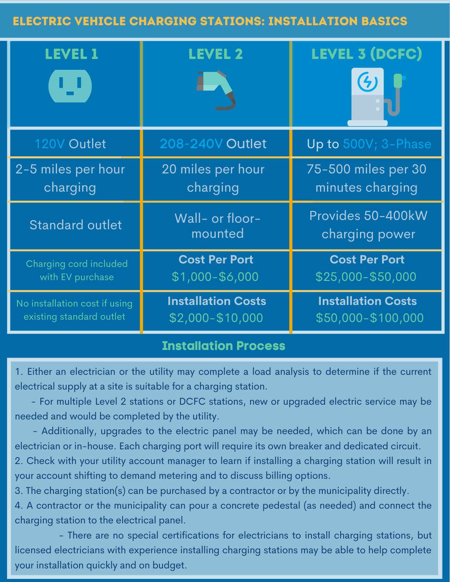## Electric Vehicle Charging Stations: Installation Basics

| <b>LEVEL 1</b><br>υ           | <b>LEVEL 2</b>             | <b>LEVEL 3 (DCFC)</b><br>$\left( 4\right)$ |
|-------------------------------|----------------------------|--------------------------------------------|
| 120V Outlet                   | <b>208-240V Outlet</b>     | Up to 500V; 3-Phase                        |
| 2-5 miles per hour            | 20 miles per hour          | 75-500 miles per 30                        |
| charging                      | charging                   | minutes charging                           |
| <b>Standard outlet</b>        | Wall- or floor-<br>mounted | Provides 50-400kW<br>charging power        |
| Charging cord included        | <b>Cost Per Port</b>       | <b>Cost Per Port</b>                       |
| with EV purchase              | \$1,000-\$6,000            | \$25,000-\$50,000                          |
| No installation cost if using | <b>Installation Costs</b>  | <b>Installation Costs</b>                  |
| existing standard outlet      | \$2,000-\$10,000           | \$50,000-\$100,000                         |

## **Installation Process**

1. Either an electrician or the utility may complete a load analysis to determine if the current electrical supply at a site is suitable for a charging station.

- For multiple Level 2 stations or DCFC stations, new or upgraded electric service may be needed and would be completed by the utility.

- Additionally, upgrades to the electric panel may be needed, which can be done by an electrician or in-house. Each charging port will require its own breaker and dedicated circuit. 2. Check with your utility account manager to learn if installing a charging station will result in

your account shifting to demand metering and to discuss billing options.

3. The charging station(s) can be purchased by a contractor or by the municipality directly.

4. A contractor or the municipality can pour a concrete pedestal (as needed) and connect the charging station to the electrical panel.

- There are no special certifications for electricians to install charging stations, but licensed electricians with experience installing charging stations may be able to help complete your installation quickly and on budget.